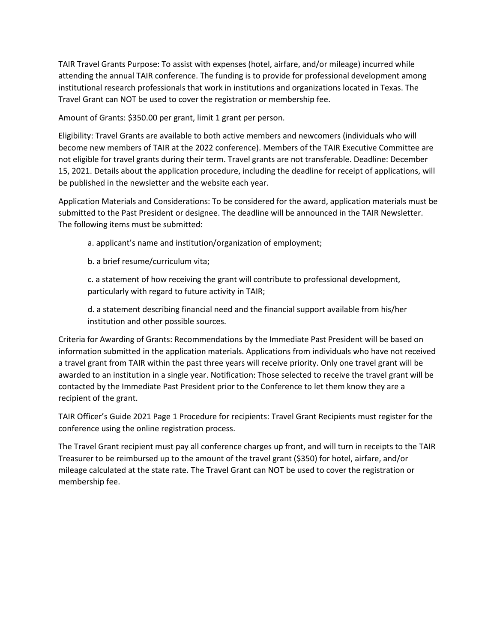TAIR Travel Grants Purpose: To assist with expenses (hotel, airfare, and/or mileage) incurred while attending the annual TAIR conference. The funding is to provide for professional development among institutional research professionals that work in institutions and organizations located in Texas. The Travel Grant can NOT be used to cover the registration or membership fee.

Amount of Grants: \$350.00 per grant, limit 1 grant per person.

Eligibility: Travel Grants are available to both active members and newcomers (individuals who will become new members of TAIR at the 2022 conference). Members of the TAIR Executive Committee are not eligible for travel grants during their term. Travel grants are not transferable. Deadline: December 15, 2021. Details about the application procedure, including the deadline for receipt of applications, will be published in the newsletter and the website each year.

Application Materials and Considerations: To be considered for the award, application materials must be submitted to the Past President or designee. The deadline will be announced in the TAIR Newsletter. The following items must be submitted:

a. applicant's name and institution/organization of employment;

b. a brief resume/curriculum vita;

c. a statement of how receiving the grant will contribute to professional development, particularly with regard to future activity in TAIR;

d. a statement describing financial need and the financial support available from his/her institution and other possible sources.

Criteria for Awarding of Grants: Recommendations by the Immediate Past President will be based on information submitted in the application materials. Applications from individuals who have not received a travel grant from TAIR within the past three years will receive priority. Only one travel grant will be awarded to an institution in a single year. Notification: Those selected to receive the travel grant will be contacted by the Immediate Past President prior to the Conference to let them know they are a recipient of the grant.

TAIR Officer's Guide 2021 Page 1 Procedure for recipients: Travel Grant Recipients must register for the conference using the online registration process.

The Travel Grant recipient must pay all conference charges up front, and will turn in receipts to the TAIR Treasurer to be reimbursed up to the amount of the travel grant (\$350) for hotel, airfare, and/or mileage calculated at the state rate. The Travel Grant can NOT be used to cover the registration or membership fee.